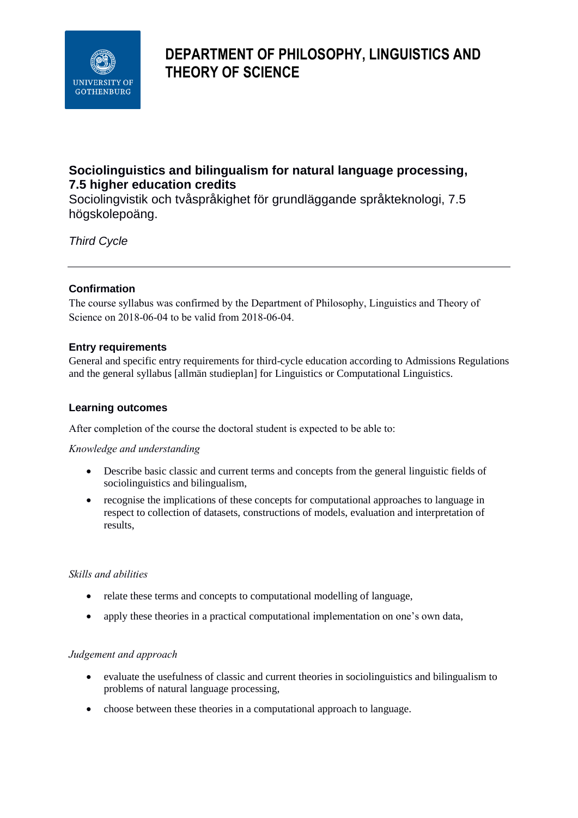

# **DEPARTMENT OF PHILOSOPHY, LINGUISTICS AND THEORY OF SCIENCE**

# **Sociolinguistics and bilingualism for natural language processing, 7.5 higher education credits**

Sociolingvistik och tvåspråkighet för grundläggande språkteknologi, 7.5 högskolepoäng.

*Third Cycle*

# **Confirmation**

The course syllabus was confirmed by the Department of Philosophy, Linguistics and Theory of Science on 2018-06-04 to be valid from 2018-06-04.

# **Entry requirements**

General and specific entry requirements for third-cycle education according to Admissions Regulations and the general syllabus [allmän studieplan] for Linguistics or Computational Linguistics.

### **Learning outcomes**

After completion of the course the doctoral student is expected to be able to:

*Knowledge and understanding*

- Describe basic classic and current terms and concepts from the general linguistic fields of sociolinguistics and bilingualism,
- recognise the implications of these concepts for computational approaches to language in respect to collection of datasets, constructions of models, evaluation and interpretation of results,

### *Skills and abilities*

- relate these terms and concepts to computational modelling of language,
- apply these theories in a practical computational implementation on one's own data,

### *Judgement and approach*

- evaluate the usefulness of classic and current theories in sociolinguistics and bilingualism to problems of natural language processing,
- choose between these theories in a computational approach to language.